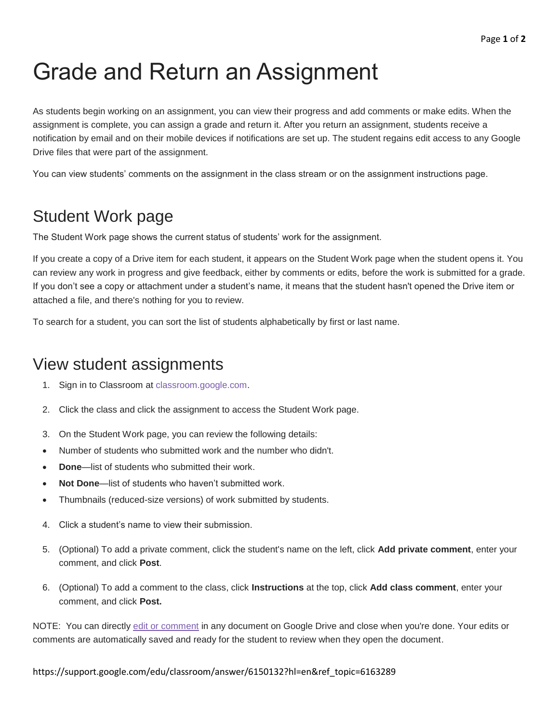# Grade and Return an Assignment

As students begin working on an assignment, you can view their progress and add comments or make edits. When the assignment is complete, you can assign a grade and return it. After you return an assignment, students receive a notification by email and on their mobile devices if notifications are set up. The student regains edit access to any Google Drive files that were part of the assignment.

You can view students' comments on the assignment in the class stream or on the assignment instructions page.

## Student Work page

The Student Work page shows the current status of students' work for the assignment.

If you create a copy of a Drive item for each student, it appears on the Student Work page when the student opens it. You can review any work in progress and give feedback, either by comments or edits, before the work is submitted for a grade. If you don't see a copy or attachment under a student's name, it means that the student hasn't opened the Drive item or attached a file, and there's nothing for you to review.

To search for a student, you can sort the list of students alphabetically by first or last name.

### View student assignments

- 1. Sign in to Classroom at [classroom.google.com.](https://classroom.google.com/)
- 2. Click the class and click the assignment to access the Student Work page.
- 3. On the Student Work page, you can review the following details:
- Number of students who submitted work and the number who didn't.
- **Done**—list of students who submitted their work.
- **Not Done**—list of students who haven't submitted work.
- Thumbnails (reduced-size versions) of work submitted by students.
- 4. Click a student's name to view their submission.
- 5. (Optional) To add a private comment, click the student's name on the left, click **Add private comment**, enter your comment, and click **Post**.
- 6. (Optional) To add a comment to the class, click **Instructions** at the top, click **Add class comment**, enter your comment, and click **Post.**

NOTE: You can directly [edit or comment](https://support.google.com/docs/answer/65129) in any document on Google Drive and close when you're done. Your edits or comments are automatically saved and ready for the student to review when they open the document.

#### https://support.google.com/edu/classroom/answer/6150132?hl=en&ref\_topic=6163289